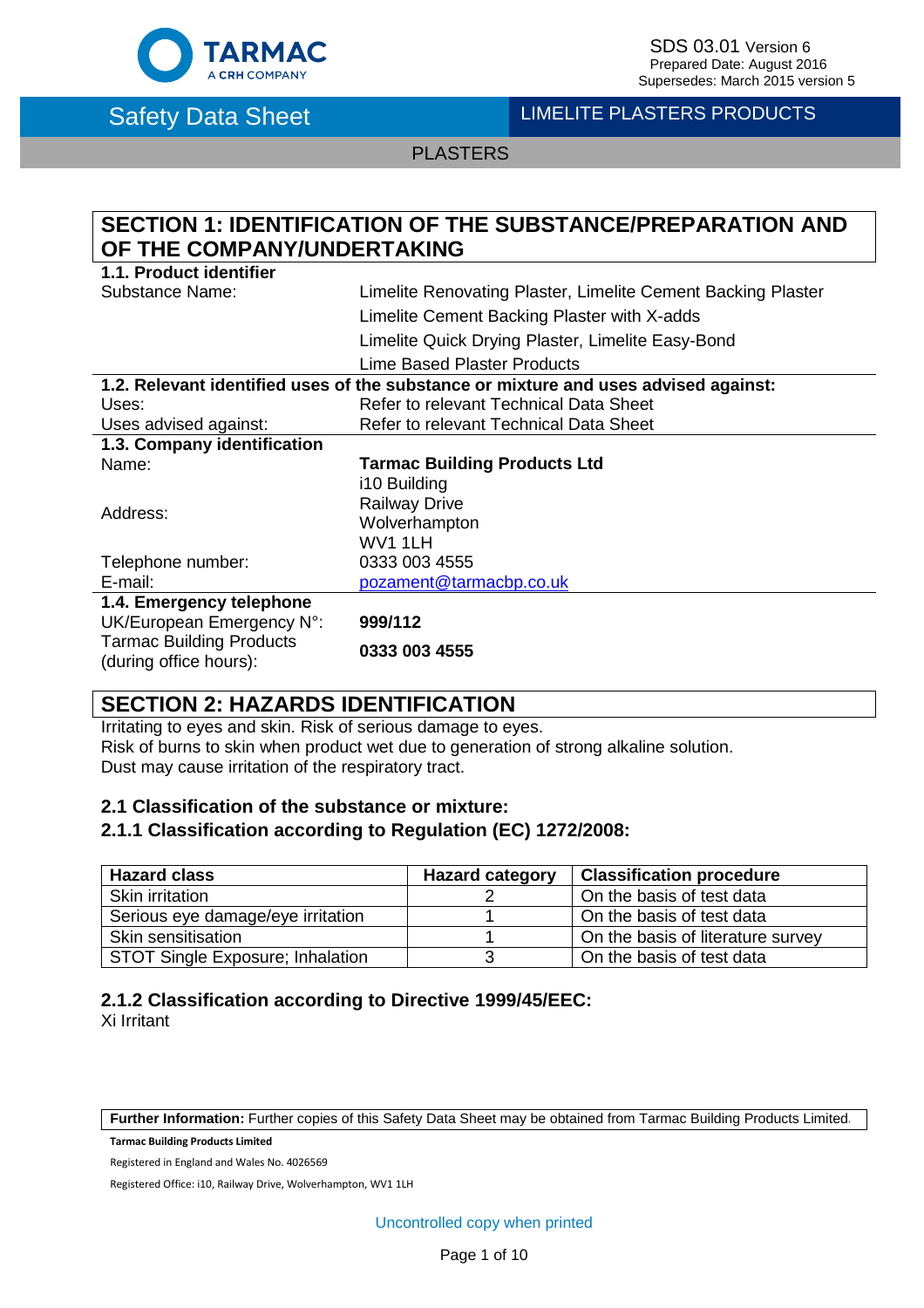

SDS 03.01 Version 6<br>Prepared Date: August 2016 Supersedes: March 2015 version 5

# Safety Data Sheet LIMELITE PLASTERS PRODUCTS

PLASTERS

# **SECTION 1: IDENTIFICATION OF THE SUBSTANCE/PREPARATION AND OF THE COMPANY/UNDERTAKING**

| 1.1. Product identifier                                   |                                                                                     |
|-----------------------------------------------------------|-------------------------------------------------------------------------------------|
| <b>Substance Name:</b>                                    | Limelite Renovating Plaster, Limelite Cement Backing Plaster                        |
|                                                           | Limelite Cement Backing Plaster with X-adds                                         |
|                                                           | Limelite Quick Drying Plaster, Limelite Easy-Bond                                   |
|                                                           | Lime Based Plaster Products                                                         |
|                                                           | 1.2. Relevant identified uses of the substance or mixture and uses advised against: |
| Uses:                                                     | Refer to relevant Technical Data Sheet                                              |
| Uses advised against:                                     | Refer to relevant Technical Data Sheet                                              |
| 1.3. Company identification                               |                                                                                     |
| Name:                                                     | <b>Tarmac Building Products Ltd</b>                                                 |
|                                                           | i10 Building                                                                        |
|                                                           | <b>Railway Drive</b>                                                                |
| Address:                                                  | Wolverhampton                                                                       |
|                                                           | WV1 1LH                                                                             |
| Telephone number:                                         | 0333 003 4555                                                                       |
| E-mail:                                                   | pozament@tarmacbp.co.uk                                                             |
| 1.4. Emergency telephone                                  |                                                                                     |
| UK/European Emergency N°:                                 | 999/112                                                                             |
| <b>Tarmac Building Products</b><br>(during office hours): | 0333 003 4555                                                                       |

### **SECTION 2: HAZARDS IDENTIFICATION**

Irritating to eyes and skin. Risk of serious damage to eyes. Risk of burns to skin when product wet due to generation of strong alkaline solution. Dust may cause irritation of the respiratory tract.

### **2.1 Classification of the substance or mixture:**

### **2.1.1 Classification according to Regulation (EC) 1272/2008:**

| <b>Hazard class</b>               | <b>Hazard category</b> | <b>Classification procedure</b>   |
|-----------------------------------|------------------------|-----------------------------------|
| Skin irritation                   |                        | On the basis of test data         |
| Serious eye damage/eye irritation |                        | On the basis of test data         |
| Skin sensitisation                |                        | On the basis of literature survey |
| STOT Single Exposure; Inhalation  |                        | On the basis of test data         |

### **2.1.2 Classification according to Directive 1999/45/EEC:**

Xi Irritant

**Further Information:** Further copies of this Safety Data Sheet may be obtained from Tarmac Building Products Limited.

**Tarmac Building Products Limited**

Registered in England and Wales No. 4026569

Registered Office: i10, Railway Drive, Wolverhampton, WV1 1LH

Uncontrolled copy when printed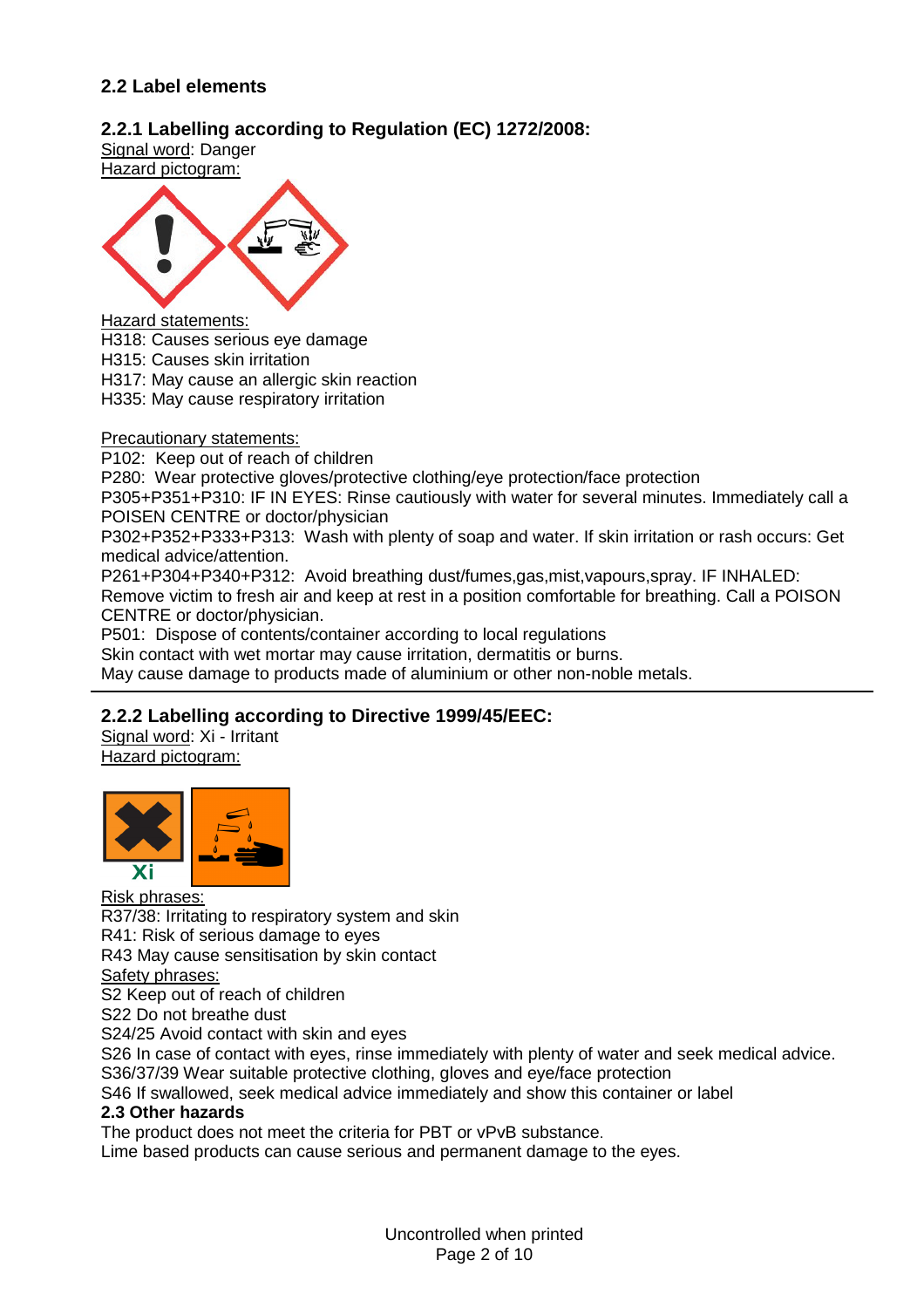### **2.2 Label elements**

### **2.2.1 Labelling according to Regulation (EC) 1272/2008:**

Signal word: Danger Hazard pictogram:



Hazard statements:

H318: Causes serious eye damage

H315: Causes skin irritation

H317: May cause an allergic skin reaction

H335: May cause respiratory irritation

Precautionary statements:

P102: Keep out of reach of children

P280: Wear protective gloves/protective clothing/eye protection/face protection

P305+P351+P310: IF IN EYES: Rinse cautiously with water for several minutes. Immediately call a POISEN CENTRE or doctor/physician

P302+P352+P333+P313: Wash with plenty of soap and water. If skin irritation or rash occurs: Get medical advice/attention.

P261+P304+P340+P312: Avoid breathing dust/fumes,gas,mist,vapours,spray. IF INHALED: Remove victim to fresh air and keep at rest in a position comfortable for breathing. Call a POISON CENTRE or doctor/physician.

P501: Dispose of contents/container according to local regulations

Skin contact with wet mortar may cause irritation, dermatitis or burns.

May cause damage to products made of aluminium or other non-noble metals.

### **2.2.2 Labelling according to Directive 1999/45/EEC:**

Signal word: Xi - Irritant Hazard pictogram:



Risk phrases:

R37/38: Irritating to respiratory system and skin

R41: Risk of serious damage to eyes

R43 May cause sensitisation by skin contact

Safety phrases:

S2 Keep out of reach of children

S22 Do not breathe dust

S24/25 Avoid contact with skin and eyes

S26 In case of contact with eyes, rinse immediately with plenty of water and seek medical advice. S36/37/39 Wear suitable protective clothing, gloves and eye/face protection

S46 If swallowed, seek medical advice immediately and show this container or label

#### **2.3 Other hazards**

The product does not meet the criteria for PBT or vPvB substance.

Lime based products can cause serious and permanent damage to the eyes.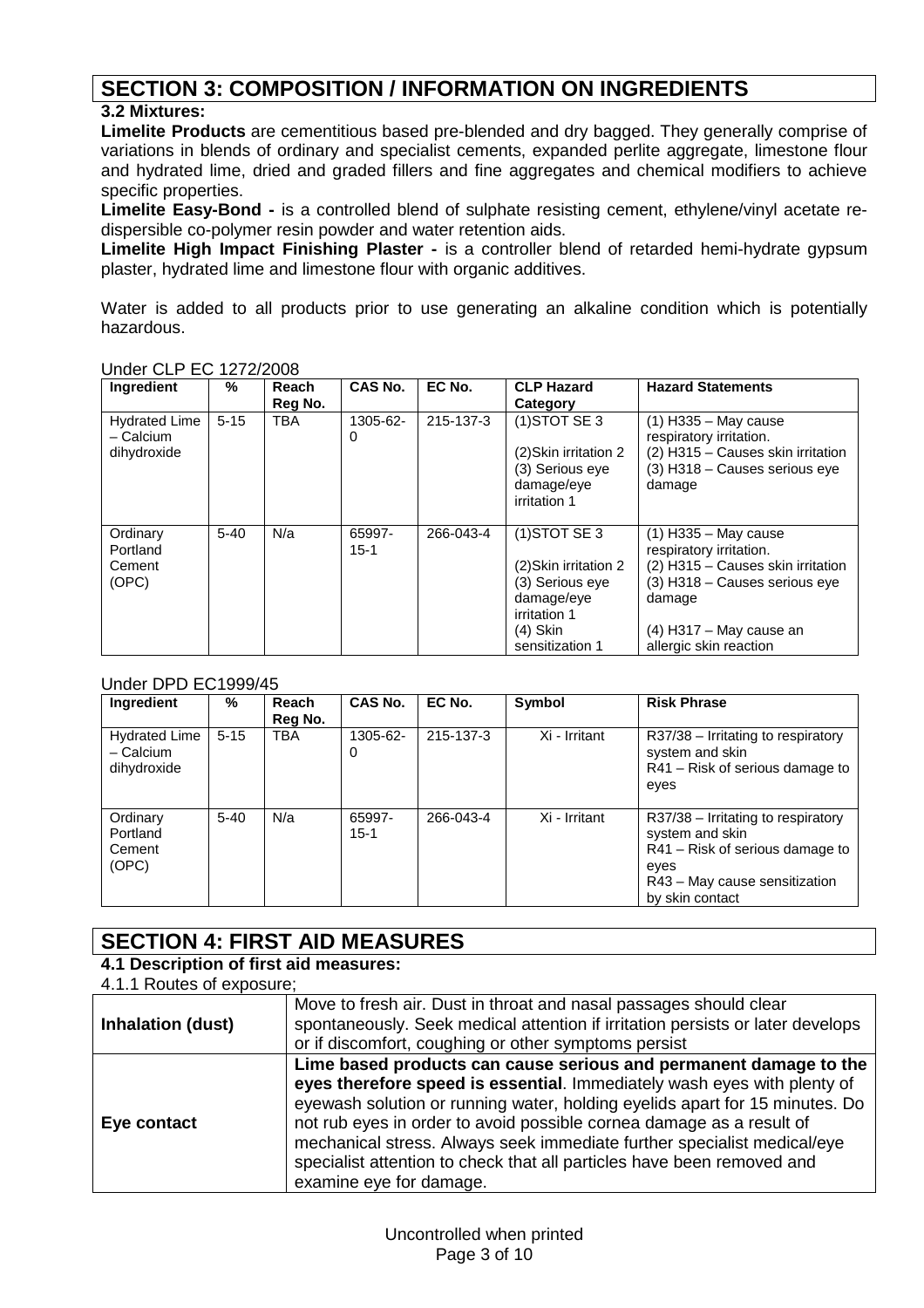# **SECTION 3: COMPOSITION / INFORMATION ON INGREDIENTS**

### **3.2 Mixtures:**

**Limelite Products** are cementitious based pre-blended and dry bagged. They generally comprise of variations in blends of ordinary and specialist cements, expanded perlite aggregate, limestone flour and hydrated lime, dried and graded fillers and fine aggregates and chemical modifiers to achieve specific properties.

**Limelite Easy-Bond -** is a controlled blend of sulphate resisting cement, ethylene/vinyl acetate redispersible co-polymer resin powder and water retention aids.

**Limelite High Impact Finishing Plaster -** is a controller blend of retarded hemi-hydrate gypsum plaster, hydrated lime and limestone flour with organic additives.

Water is added to all products prior to use generating an alkaline condition which is potentially hazardous.

| Ingredient                                       | %        | <b>Reach</b><br>Reg No. | <b>CAS No.</b>     | EC No.    | <b>CLP Hazard</b><br>Category                                                                                              | <b>Hazard Statements</b>                                                                                                                                                                   |
|--------------------------------------------------|----------|-------------------------|--------------------|-----------|----------------------------------------------------------------------------------------------------------------------------|--------------------------------------------------------------------------------------------------------------------------------------------------------------------------------------------|
| <b>Hydrated Lime</b><br>- Calcium<br>dihydroxide | $5 - 15$ | <b>TBA</b>              | 1305-62-<br>0      | 215-137-3 | $(1)$ STOT SE 3<br>(2) Skin irritation 2<br>(3) Serious eve<br>damage/eye<br>irritation 1                                  | $(1)$ H335 - May cause<br>respiratory irritation.<br>(2) H315 - Causes skin irritation<br>(3) H318 - Causes serious eye<br>damage                                                          |
| Ordinary<br>Portland<br>Cement<br>(OPC)          | $5 - 40$ | N/a                     | 65997-<br>$15 - 1$ | 266-043-4 | $(1)$ STOT SE 3<br>(2) Skin irritation 2<br>(3) Serious eye<br>damage/eye<br>irritation 1<br>$(4)$ Skin<br>sensitization 1 | $(1)$ H335 – May cause<br>respiratory irritation.<br>(2) H315 - Causes skin irritation<br>$(3)$ H318 – Causes serious eye<br>damage<br>$(4)$ H317 – May cause an<br>allergic skin reaction |

### Under CLP EC 1272/2008

#### Under DPD EC1999/45

| Ingredient                                       | %        | Reach<br>Reg No. | CAS No.            | EC No.    | Symbol        | <b>Risk Phrase</b>                                                                                                                                       |
|--------------------------------------------------|----------|------------------|--------------------|-----------|---------------|----------------------------------------------------------------------------------------------------------------------------------------------------------|
| <b>Hydrated Lime</b><br>- Calcium<br>dihydroxide | $5 - 15$ | <b>TBA</b>       | 1305-62-<br>0      | 215-137-3 | Xi - Irritant | $R37/38$ – Irritating to respiratory<br>system and skin<br>R41 – Risk of serious damage to<br>eyes                                                       |
| Ordinary<br>Portland<br>Cement<br>(OPC)          | $5 - 40$ | N/a              | 65997-<br>$15 - 1$ | 266-043-4 | Xi - Irritant | $R37/38$ – Irritating to respiratory<br>system and skin<br>$R41 - Risk$ of serious damage to<br>eyes<br>R43 - May cause sensitization<br>by skin contact |

# **SECTION 4: FIRST AID MEASURES**

### **4.1 Description of first aid measures:**

| 4.1.1 Routes of exposure; |                                                                                                                                                                                                                                                                                                                                                                                                                                                                                     |
|---------------------------|-------------------------------------------------------------------------------------------------------------------------------------------------------------------------------------------------------------------------------------------------------------------------------------------------------------------------------------------------------------------------------------------------------------------------------------------------------------------------------------|
| <b>Inhalation (dust)</b>  | Move to fresh air. Dust in throat and nasal passages should clear<br>spontaneously. Seek medical attention if irritation persists or later develops<br>or if discomfort, coughing or other symptoms persist                                                                                                                                                                                                                                                                         |
| Eye contact               | Lime based products can cause serious and permanent damage to the<br>eyes therefore speed is essential. Immediately wash eyes with plenty of<br>eyewash solution or running water, holding eyelids apart for 15 minutes. Do<br>not rub eyes in order to avoid possible cornea damage as a result of<br>mechanical stress. Always seek immediate further specialist medical/eye<br>specialist attention to check that all particles have been removed and<br>examine eye for damage. |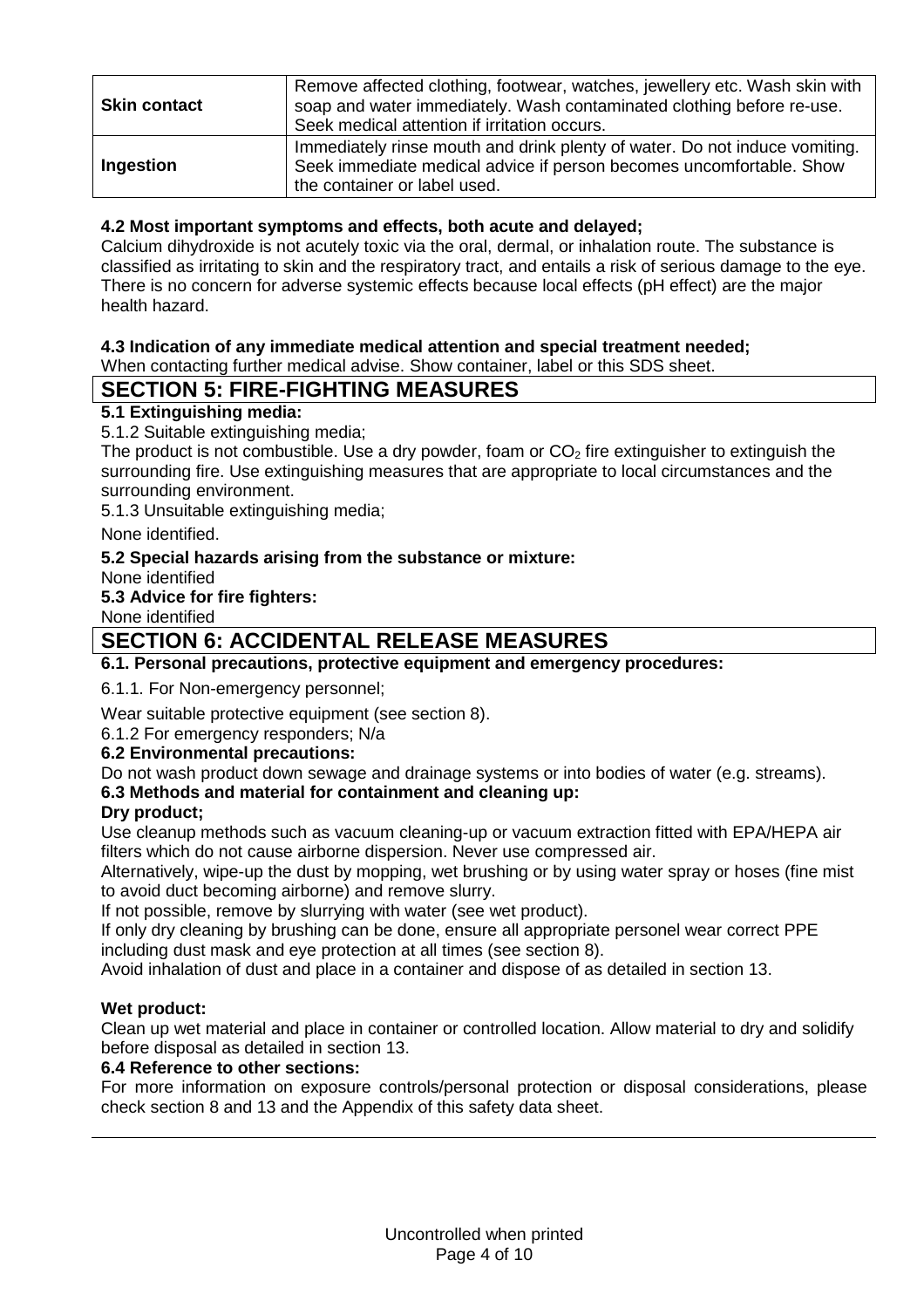| <b>Skin contact</b> | Remove affected clothing, footwear, watches, jewellery etc. Wash skin with<br>soap and water immediately. Wash contaminated clothing before re-use.<br>Seek medical attention if irritation occurs. |
|---------------------|-----------------------------------------------------------------------------------------------------------------------------------------------------------------------------------------------------|
| Ingestion           | Immediately rinse mouth and drink plenty of water. Do not induce vomiting.<br>Seek immediate medical advice if person becomes uncomfortable. Show<br>the container or label used.                   |

### **4.2 Most important symptoms and effects, both acute and delayed;**

Calcium dihydroxide is not acutely toxic via the oral, dermal, or inhalation route. The substance is classified as irritating to skin and the respiratory tract, and entails a risk of serious damage to the eye. There is no concern for adverse systemic effects because local effects (pH effect) are the major health hazard.

### **4.3 Indication of any immediate medical attention and special treatment needed;**

When contacting further medical advise. Show container, label or this SDS sheet.

### **SECTION 5: FIRE-FIGHTING MEASURES**

### **5.1 Extinguishing media:**

5.1.2 Suitable extinguishing media;

The product is not combustible. Use a dry powder, foam or  $CO<sub>2</sub>$  fire extinguisher to extinguish the surrounding fire. Use extinguishing measures that are appropriate to local circumstances and the surrounding environment.

5.1.3 Unsuitable extinguishing media;

None identified.

### **5.2 Special hazards arising from the substance or mixture:**

None identified

**5.3 Advice for fire fighters:**

None identified

### **SECTION 6: ACCIDENTAL RELEASE MEASURES**

### **6.1. Personal precautions, protective equipment and emergency procedures:**

6.1.1. For Non-emergency personnel;

Wear suitable protective equipment (see section 8).

#### 6.1.2 For emergency responders; N/a

### **6.2 Environmental precautions:**

Do not wash product down sewage and drainage systems or into bodies of water (e.g. streams).

### **6.3 Methods and material for containment and cleaning up:**

#### **Dry product;**

Use cleanup methods such as vacuum cleaning-up or vacuum extraction fitted with EPA/HEPA air filters which do not cause airborne dispersion. Never use compressed air.

Alternatively, wipe-up the dust by mopping, wet brushing or by using water spray or hoses (fine mist to avoid duct becoming airborne) and remove slurry.

If not possible, remove by slurrying with water (see wet product).

If only dry cleaning by brushing can be done, ensure all appropriate personel wear correct PPE including dust mask and eye protection at all times (see section 8).

Avoid inhalation of dust and place in a container and dispose of as detailed in section 13.

### **Wet product:**

Clean up wet material and place in container or controlled location. Allow material to dry and solidify before disposal as detailed in section 13.

#### **6.4 Reference to other sections:**

For more information on exposure controls/personal protection or disposal considerations, please check section 8 and 13 and the Appendix of this safety data sheet.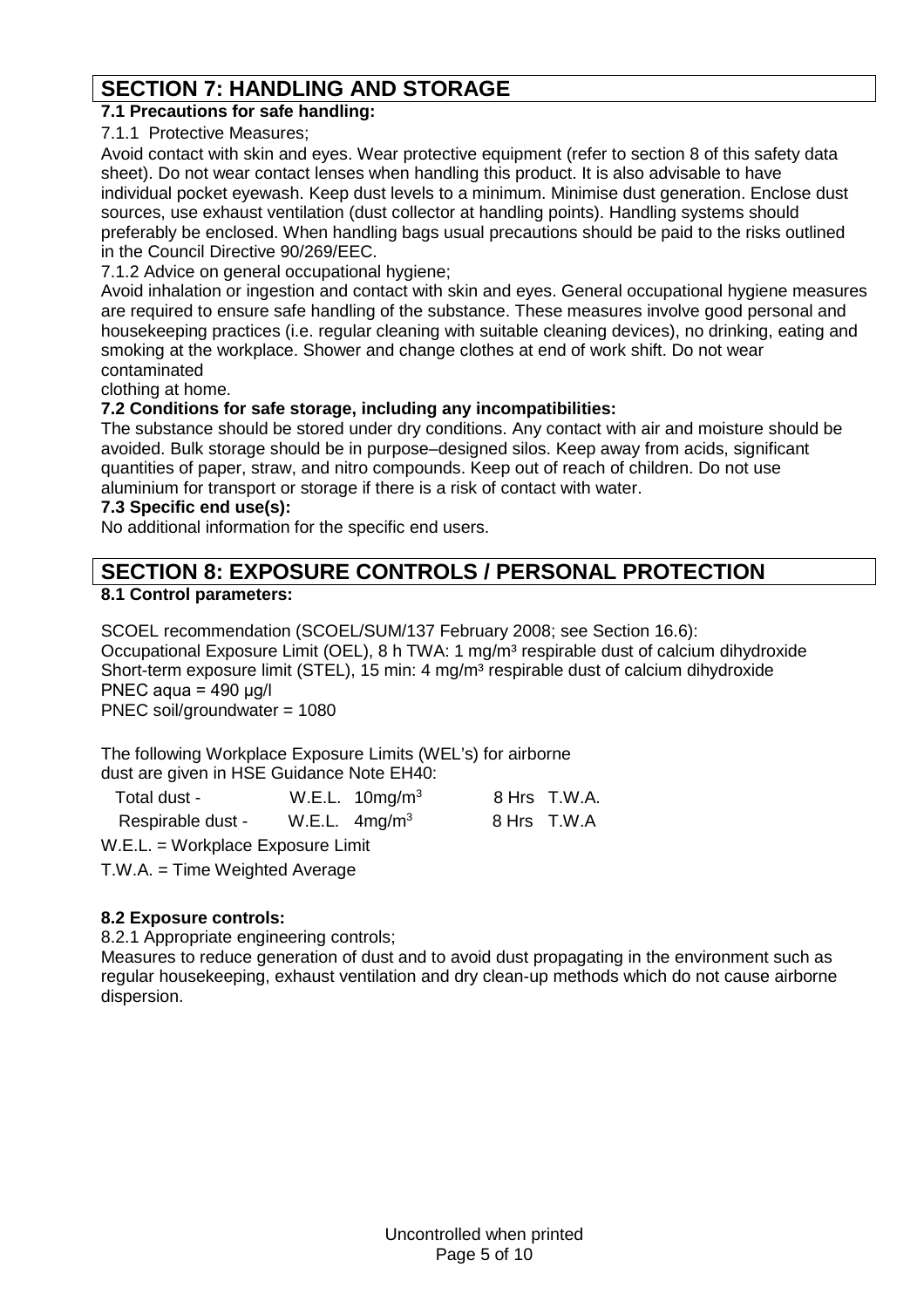# **SECTION 7: HANDLING AND STORAGE**

### **7.1 Precautions for safe handling:**

7.1.1 Protective Measures;

Avoid contact with skin and eyes. Wear protective equipment (refer to section 8 of this safety data sheet). Do not wear contact lenses when handling this product. It is also advisable to have individual pocket eyewash. Keep dust levels to a minimum. Minimise dust generation. Enclose dust sources, use exhaust ventilation (dust collector at handling points). Handling systems should preferably be enclosed. When handling bags usual precautions should be paid to the risks outlined in the Council Directive 90/269/EEC.

7.1.2 Advice on general occupational hygiene;

Avoid inhalation or ingestion and contact with skin and eyes. General occupational hygiene measures are required to ensure safe handling of the substance. These measures involve good personal and housekeeping practices (i.e. regular cleaning with suitable cleaning devices), no drinking, eating and smoking at the workplace. Shower and change clothes at end of work shift. Do not wear contaminated

clothing at home.

### **7.2 Conditions for safe storage, including any incompatibilities:**

The substance should be stored under dry conditions. Any contact with air and moisture should be avoided. Bulk storage should be in purpose–designed silos. Keep away from acids, significant quantities of paper, straw, and nitro compounds. Keep out of reach of children. Do not use aluminium for transport or storage if there is a risk of contact with water.

### **7.3 Specific end use(s):**

No additional information for the specific end users.

# **SECTION 8: EXPOSURE CONTROLS / PERSONAL PROTECTION**

### **8.1 Control parameters:**

SCOEL recommendation (SCOEL/SUM/137 February 2008; see Section 16.6): Occupational Exposure Limit (OEL), 8 h TWA: 1 mg/m<sup>3</sup> respirable dust of calcium dihydroxide Short-term exposure limit (STEL), 15 min: 4 mg/m<sup>3</sup> respirable dust of calcium dihydroxide PNEC aqua = 490 μg/l PNEC soil/groundwater = 1080

The following Workplace Exposure Limits (WEL's) for airborne dust are given in HSE Guidance Note EH40:

| Total dust -      | W.E.L. $10\,\text{mg/m}^3$ | 8 Hrs T.W.A. |
|-------------------|----------------------------|--------------|
| Respirable dust - | W.E.L. $4mg/m3$            | 8 Hrs T.W.A  |

W.E.L. = Workplace Exposure Limit

T.W.A. = Time Weighted Average

### **8.2 Exposure controls:**

8.2.1 Appropriate engineering controls;

Measures to reduce generation of dust and to avoid dust propagating in the environment such as regular housekeeping, exhaust ventilation and dry clean-up methods which do not cause airborne dispersion.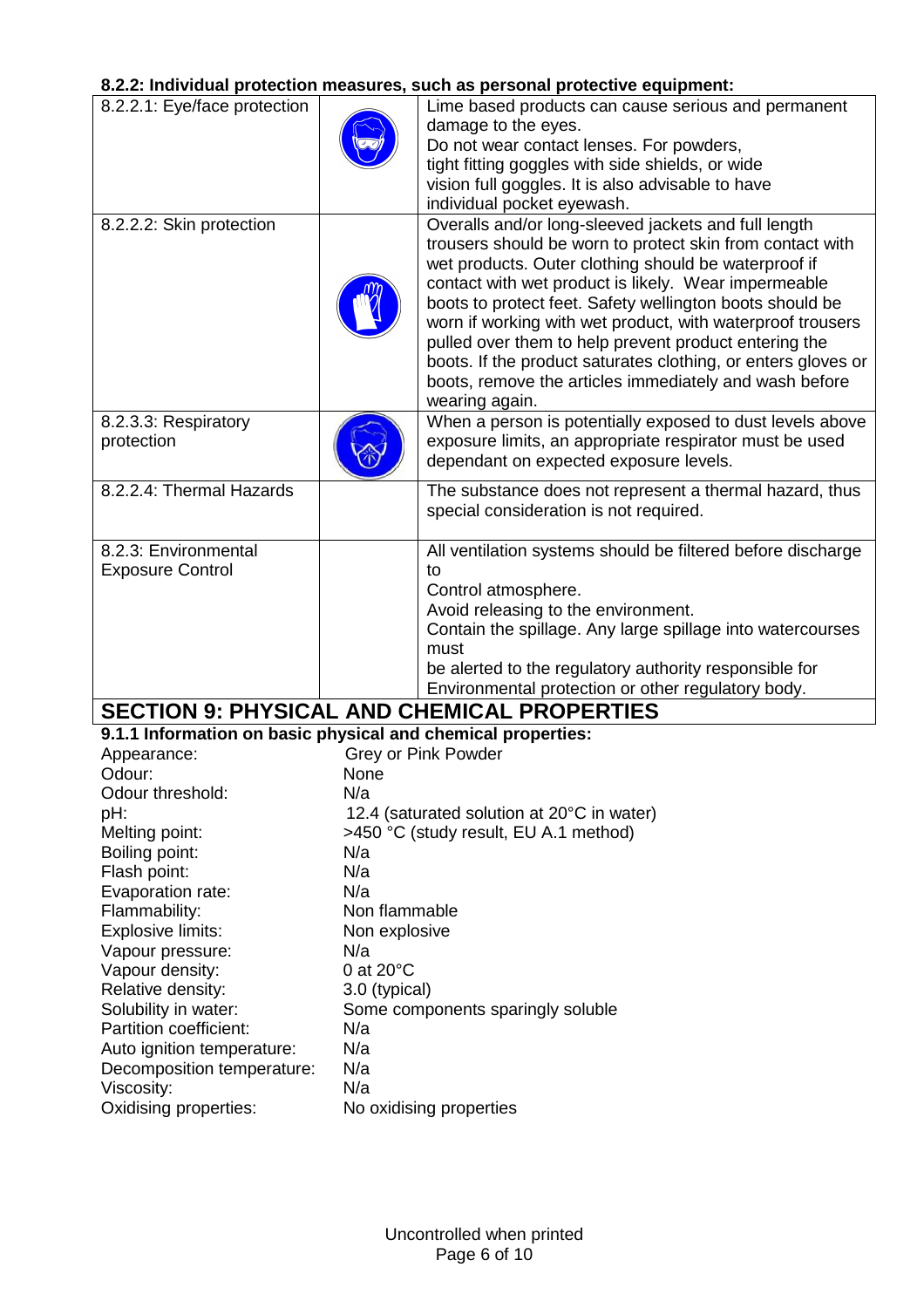### **8.2.2: Individual protection measures, such as personal protective equipment:**

|                                                              |                     | o.z.z. murviduai protection measures, such as personal protective equipment.                                           |  |
|--------------------------------------------------------------|---------------------|------------------------------------------------------------------------------------------------------------------------|--|
| 8.2.2.1: Eye/face protection                                 |                     | Lime based products can cause serious and permanent                                                                    |  |
|                                                              |                     | damage to the eyes.                                                                                                    |  |
|                                                              |                     | Do not wear contact lenses. For powders,                                                                               |  |
|                                                              |                     | tight fitting goggles with side shields, or wide                                                                       |  |
|                                                              |                     | vision full goggles. It is also advisable to have                                                                      |  |
|                                                              |                     | individual pocket eyewash.                                                                                             |  |
| 8.2.2.2: Skin protection                                     |                     | Overalls and/or long-sleeved jackets and full length                                                                   |  |
|                                                              |                     | trousers should be worn to protect skin from contact with                                                              |  |
|                                                              |                     | wet products. Outer clothing should be waterproof if                                                                   |  |
|                                                              |                     | contact with wet product is likely. Wear impermeable                                                                   |  |
|                                                              |                     | boots to protect feet. Safety wellington boots should be<br>worn if working with wet product, with waterproof trousers |  |
|                                                              |                     | pulled over them to help prevent product entering the                                                                  |  |
|                                                              |                     | boots. If the product saturates clothing, or enters gloves or                                                          |  |
|                                                              |                     | boots, remove the articles immediately and wash before                                                                 |  |
|                                                              |                     | wearing again.                                                                                                         |  |
| 8.2.3.3: Respiratory                                         |                     | When a person is potentially exposed to dust levels above                                                              |  |
| protection                                                   |                     | exposure limits, an appropriate respirator must be used                                                                |  |
|                                                              |                     | dependant on expected exposure levels.                                                                                 |  |
|                                                              |                     |                                                                                                                        |  |
| 8.2.2.4: Thermal Hazards                                     |                     | The substance does not represent a thermal hazard, thus                                                                |  |
|                                                              |                     | special consideration is not required.                                                                                 |  |
|                                                              |                     |                                                                                                                        |  |
| 8.2.3: Environmental                                         |                     | All ventilation systems should be filtered before discharge                                                            |  |
| <b>Exposure Control</b>                                      |                     | to                                                                                                                     |  |
|                                                              |                     | Control atmosphere.<br>Avoid releasing to the environment.                                                             |  |
|                                                              |                     | Contain the spillage. Any large spillage into watercourses                                                             |  |
|                                                              |                     | must                                                                                                                   |  |
|                                                              |                     | be alerted to the regulatory authority responsible for                                                                 |  |
|                                                              |                     | Environmental protection or other regulatory body.                                                                     |  |
|                                                              |                     | <b>SECTION 9: PHYSICAL AND CHEMICAL PROPERTIES</b>                                                                     |  |
| 9.1.1 Information on basic physical and chemical properties: |                     |                                                                                                                        |  |
| Appearance:                                                  |                     | <b>Grey or Pink Powder</b>                                                                                             |  |
| Odour:                                                       | None                |                                                                                                                        |  |
| Odour threshold:                                             | N/a                 |                                                                                                                        |  |
| pH:                                                          |                     | 12.4 (saturated solution at 20°C in water)                                                                             |  |
| Melting point:                                               |                     | >450 °C (study result, EU A.1 method)                                                                                  |  |
| Boiling point:                                               | N/a                 |                                                                                                                        |  |
| Flash point:                                                 | N/a                 |                                                                                                                        |  |
| Evaporation rate:                                            | N/a                 |                                                                                                                        |  |
| Flammability:                                                | Non flammable       |                                                                                                                        |  |
| Explosive limits:                                            | Non explosive       |                                                                                                                        |  |
| Vapour pressure:                                             | N/a                 |                                                                                                                        |  |
| Vapour density:                                              | 0 at $20^{\circ}$ C |                                                                                                                        |  |
| Relative density:                                            | 3.0 (typical)       |                                                                                                                        |  |
| Solubility in water:                                         |                     | Some components sparingly soluble                                                                                      |  |
| Partition coefficient:                                       | N/a                 |                                                                                                                        |  |
| Auto ignition temperature:                                   | N/a                 |                                                                                                                        |  |
| Decomposition temperature:                                   | N/a                 |                                                                                                                        |  |
| Viscosity:                                                   | N/a                 |                                                                                                                        |  |

Oxidising properties: No oxidising properties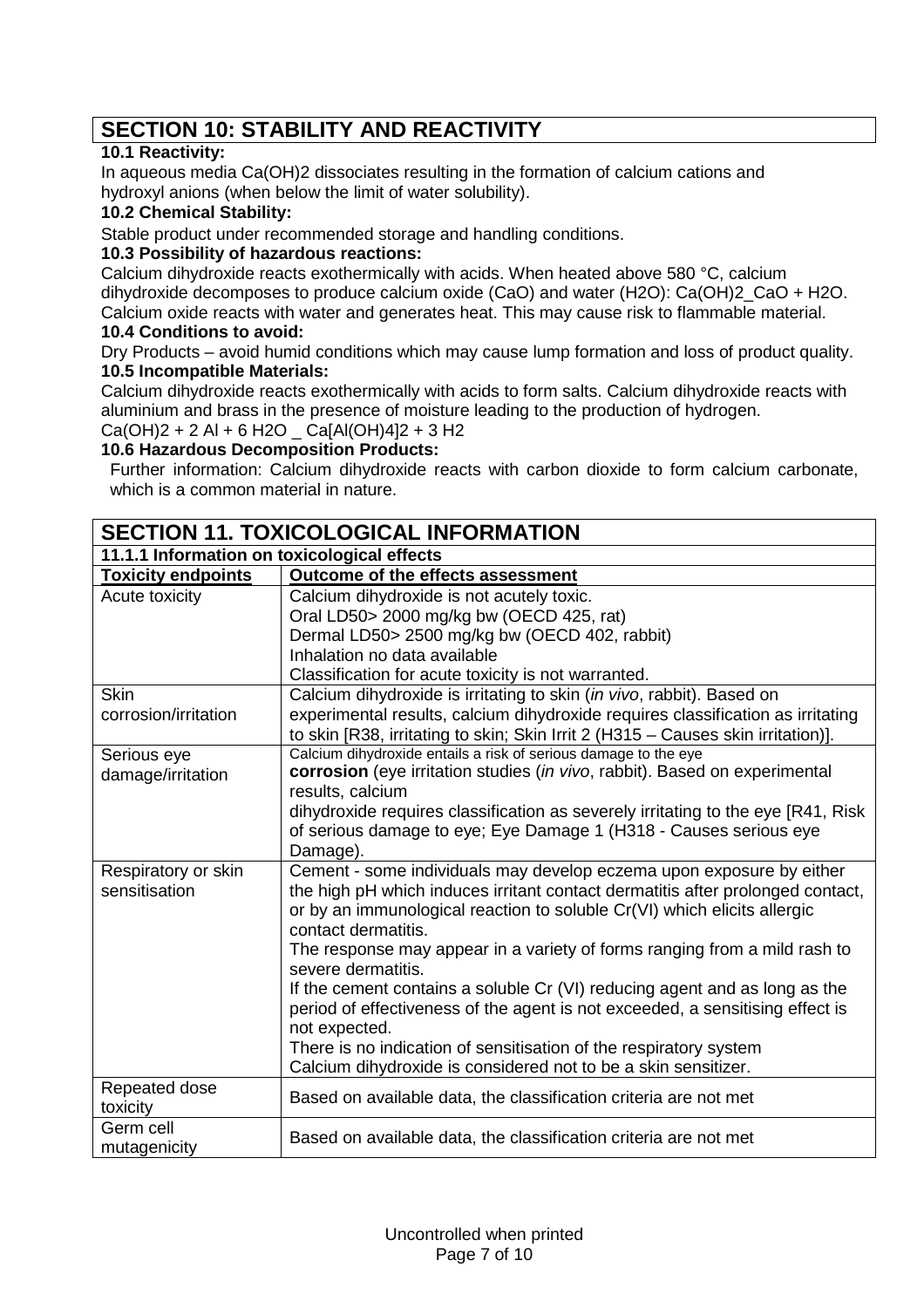# **SECTION 10: STABILITY AND REACTIVITY**

### **10.1 Reactivity:**

In aqueous media Ca(OH)2 dissociates resulting in the formation of calcium cations and hydroxyl anions (when below the limit of water solubility).

### **10.2 Chemical Stability:**

Stable product under recommended storage and handling conditions.

### **10.3 Possibility of hazardous reactions:**

Calcium dihydroxide reacts exothermically with acids. When heated above 580 °C, calcium dihydroxide decomposes to produce calcium oxide (CaO) and water (H2O): Ca(OH)2\_CaO + H2O. Calcium oxide reacts with water and generates heat. This may cause risk to flammable material.

### **10.4 Conditions to avoid:**

Dry Products – avoid humid conditions which may cause lump formation and loss of product quality. **10.5 Incompatible Materials:**

Calcium dihydroxide reacts exothermically with acids to form salts. Calcium dihydroxide reacts with aluminium and brass in the presence of moisture leading to the production of hydrogen.  $Ca(OH)2 + 2 Al + 6 H2O$   $Ca[Al(OH)4]2 + 3 H2$ 

# **10.6 Hazardous Decomposition Products:**

Further information: Calcium dihydroxide reacts with carbon dioxide to form calcium carbonate, which is a common material in nature.

| <b>SECTION 11. TOXICOLOGICAL INFORMATION</b> |                                                                                                                                                        |  |  |  |
|----------------------------------------------|--------------------------------------------------------------------------------------------------------------------------------------------------------|--|--|--|
| 11.1.1 Information on toxicological effects  |                                                                                                                                                        |  |  |  |
| <b>Toxicity endpoints</b>                    | Outcome of the effects assessment                                                                                                                      |  |  |  |
| Acute toxicity                               | Calcium dihydroxide is not acutely toxic.                                                                                                              |  |  |  |
|                                              | Oral LD50> 2000 mg/kg bw (OECD 425, rat)                                                                                                               |  |  |  |
|                                              | Dermal LD50> 2500 mg/kg bw (OECD 402, rabbit)                                                                                                          |  |  |  |
|                                              | Inhalation no data available                                                                                                                           |  |  |  |
|                                              | Classification for acute toxicity is not warranted.                                                                                                    |  |  |  |
| <b>Skin</b>                                  | Calcium dihydroxide is irritating to skin (in vivo, rabbit). Based on                                                                                  |  |  |  |
| corrosion/irritation                         | experimental results, calcium dihydroxide requires classification as irritating                                                                        |  |  |  |
|                                              | to skin [R38, irritating to skin; Skin Irrit 2 (H315 - Causes skin irritation)].                                                                       |  |  |  |
| Serious eye                                  | Calcium dihydroxide entails a risk of serious damage to the eye                                                                                        |  |  |  |
| damage/irritation                            | corrosion (eye irritation studies (in vivo, rabbit). Based on experimental                                                                             |  |  |  |
|                                              | results, calcium                                                                                                                                       |  |  |  |
|                                              | dihydroxide requires classification as severely irritating to the eye [R41, Risk]<br>of serious damage to eye; Eye Damage 1 (H318 - Causes serious eye |  |  |  |
|                                              | Damage).                                                                                                                                               |  |  |  |
| Respiratory or skin                          | Cement - some individuals may develop eczema upon exposure by either                                                                                   |  |  |  |
| sensitisation                                | the high pH which induces irritant contact dermatitis after prolonged contact,                                                                         |  |  |  |
|                                              | or by an immunological reaction to soluble Cr(VI) which elicits allergic                                                                               |  |  |  |
|                                              | contact dermatitis.                                                                                                                                    |  |  |  |
|                                              | The response may appear in a variety of forms ranging from a mild rash to                                                                              |  |  |  |
|                                              | severe dermatitis.                                                                                                                                     |  |  |  |
|                                              | If the cement contains a soluble Cr (VI) reducing agent and as long as the                                                                             |  |  |  |
|                                              | period of effectiveness of the agent is not exceeded, a sensitising effect is                                                                          |  |  |  |
|                                              | not expected.                                                                                                                                          |  |  |  |
|                                              | There is no indication of sensitisation of the respiratory system                                                                                      |  |  |  |
|                                              | Calcium dihydroxide is considered not to be a skin sensitizer.                                                                                         |  |  |  |
| Repeated dose                                | Based on available data, the classification criteria are not met                                                                                       |  |  |  |
| toxicity                                     |                                                                                                                                                        |  |  |  |
| Germ cell                                    | Based on available data, the classification criteria are not met                                                                                       |  |  |  |
| mutagenicity                                 |                                                                                                                                                        |  |  |  |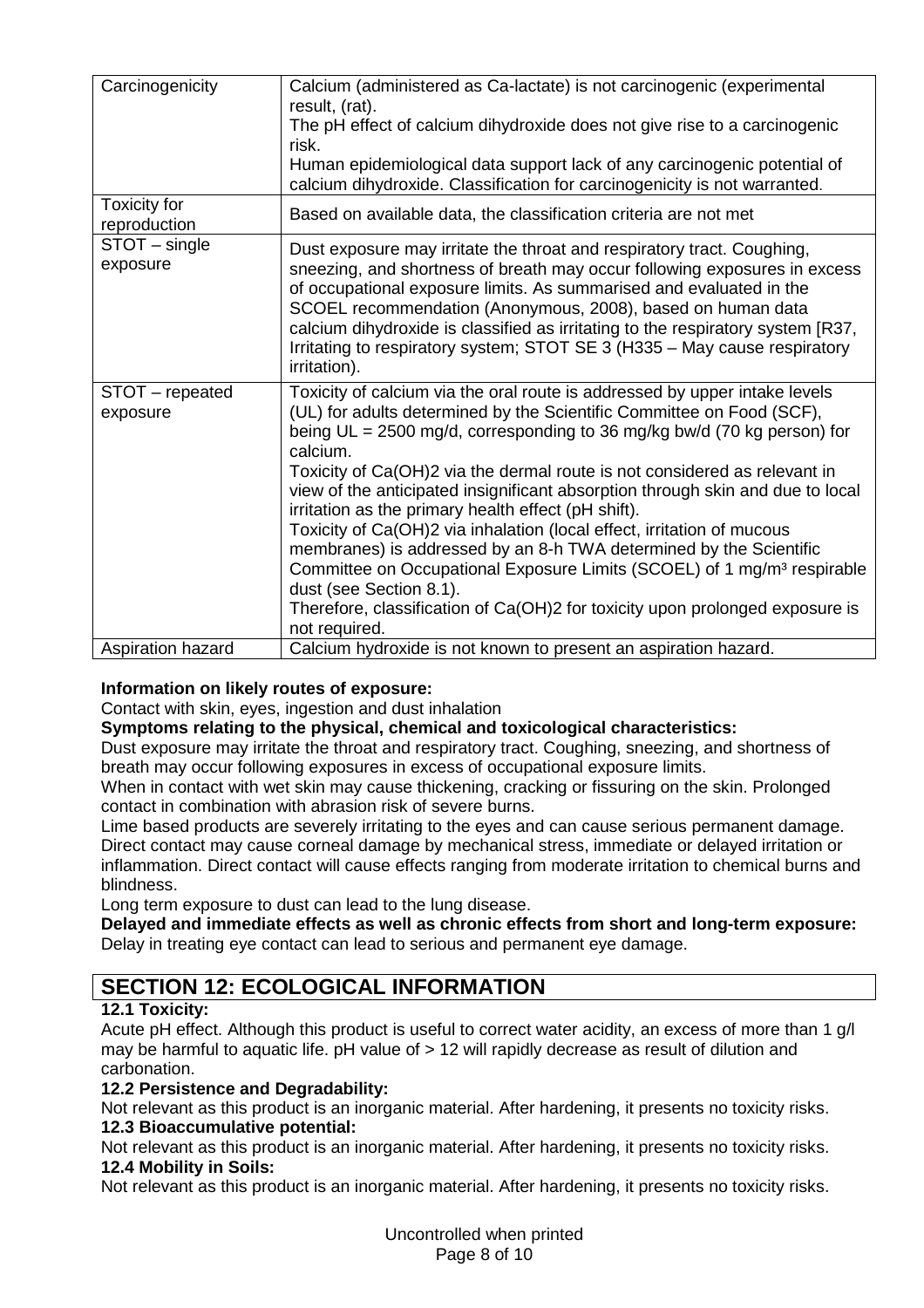| Carcinogenicity                     | Calcium (administered as Ca-lactate) is not carcinogenic (experimental<br>result, (rat).<br>The pH effect of calcium dihydroxide does not give rise to a carcinogenic<br>risk.<br>Human epidemiological data support lack of any carcinogenic potential of<br>calcium dihydroxide. Classification for carcinogenicity is not warranted.                                                                                                                                                                                                                                                                                                                                                                                                                                                                                             |
|-------------------------------------|-------------------------------------------------------------------------------------------------------------------------------------------------------------------------------------------------------------------------------------------------------------------------------------------------------------------------------------------------------------------------------------------------------------------------------------------------------------------------------------------------------------------------------------------------------------------------------------------------------------------------------------------------------------------------------------------------------------------------------------------------------------------------------------------------------------------------------------|
| <b>Toxicity for</b><br>reproduction | Based on available data, the classification criteria are not met                                                                                                                                                                                                                                                                                                                                                                                                                                                                                                                                                                                                                                                                                                                                                                    |
| STOT - single<br>exposure           | Dust exposure may irritate the throat and respiratory tract. Coughing,<br>sneezing, and shortness of breath may occur following exposures in excess<br>of occupational exposure limits. As summarised and evaluated in the<br>SCOEL recommendation (Anonymous, 2008), based on human data<br>calcium dihydroxide is classified as irritating to the respiratory system [R37,<br>Irritating to respiratory system; STOT SE 3 (H335 - May cause respiratory<br>irritation).                                                                                                                                                                                                                                                                                                                                                           |
| STOT - repeated<br>exposure         | Toxicity of calcium via the oral route is addressed by upper intake levels<br>(UL) for adults determined by the Scientific Committee on Food (SCF),<br>being UL = 2500 mg/d, corresponding to 36 mg/kg bw/d (70 kg person) for<br>calcium.<br>Toxicity of Ca(OH)2 via the dermal route is not considered as relevant in<br>view of the anticipated insignificant absorption through skin and due to local<br>irritation as the primary health effect (pH shift).<br>Toxicity of Ca(OH)2 via inhalation (local effect, irritation of mucous<br>membranes) is addressed by an 8-h TWA determined by the Scientific<br>Committee on Occupational Exposure Limits (SCOEL) of 1 mg/m <sup>3</sup> respirable<br>dust (see Section 8.1).<br>Therefore, classification of Ca(OH)2 for toxicity upon prolonged exposure is<br>not required. |
| Aspiration hazard                   | Calcium hydroxide is not known to present an aspiration hazard.                                                                                                                                                                                                                                                                                                                                                                                                                                                                                                                                                                                                                                                                                                                                                                     |

### **Information on likely routes of exposure:**

Contact with skin, eyes, ingestion and dust inhalation

#### **Symptoms relating to the physical, chemical and toxicological characteristics:**

Dust exposure may irritate the throat and respiratory tract. Coughing, sneezing, and shortness of breath may occur following exposures in excess of occupational exposure limits.

When in contact with wet skin may cause thickening, cracking or fissuring on the skin. Prolonged contact in combination with abrasion risk of severe burns.

Lime based products are severely irritating to the eyes and can cause serious permanent damage. Direct contact may cause corneal damage by mechanical stress, immediate or delayed irritation or inflammation. Direct contact will cause effects ranging from moderate irritation to chemical burns and blindness.

Long term exposure to dust can lead to the lung disease.

**Delayed and immediate effects as well as chronic effects from short and long-term exposure:** Delay in treating eye contact can lead to serious and permanent eye damage.

# **SECTION 12: ECOLOGICAL INFORMATION**

### **12.1 Toxicity:**

Acute pH effect. Although this product is useful to correct water acidity, an excess of more than 1 g/l may be harmful to aquatic life. pH value of > 12 will rapidly decrease as result of dilution and carbonation.

### **12.2 Persistence and Degradability:**

Not relevant as this product is an inorganic material. After hardening, it presents no toxicity risks. **12.3 Bioaccumulative potential:**

Not relevant as this product is an inorganic material. After hardening, it presents no toxicity risks. **12.4 Mobility in Soils:**

Not relevant as this product is an inorganic material. After hardening, it presents no toxicity risks.

Uncontrolled when printed Page 8 of 10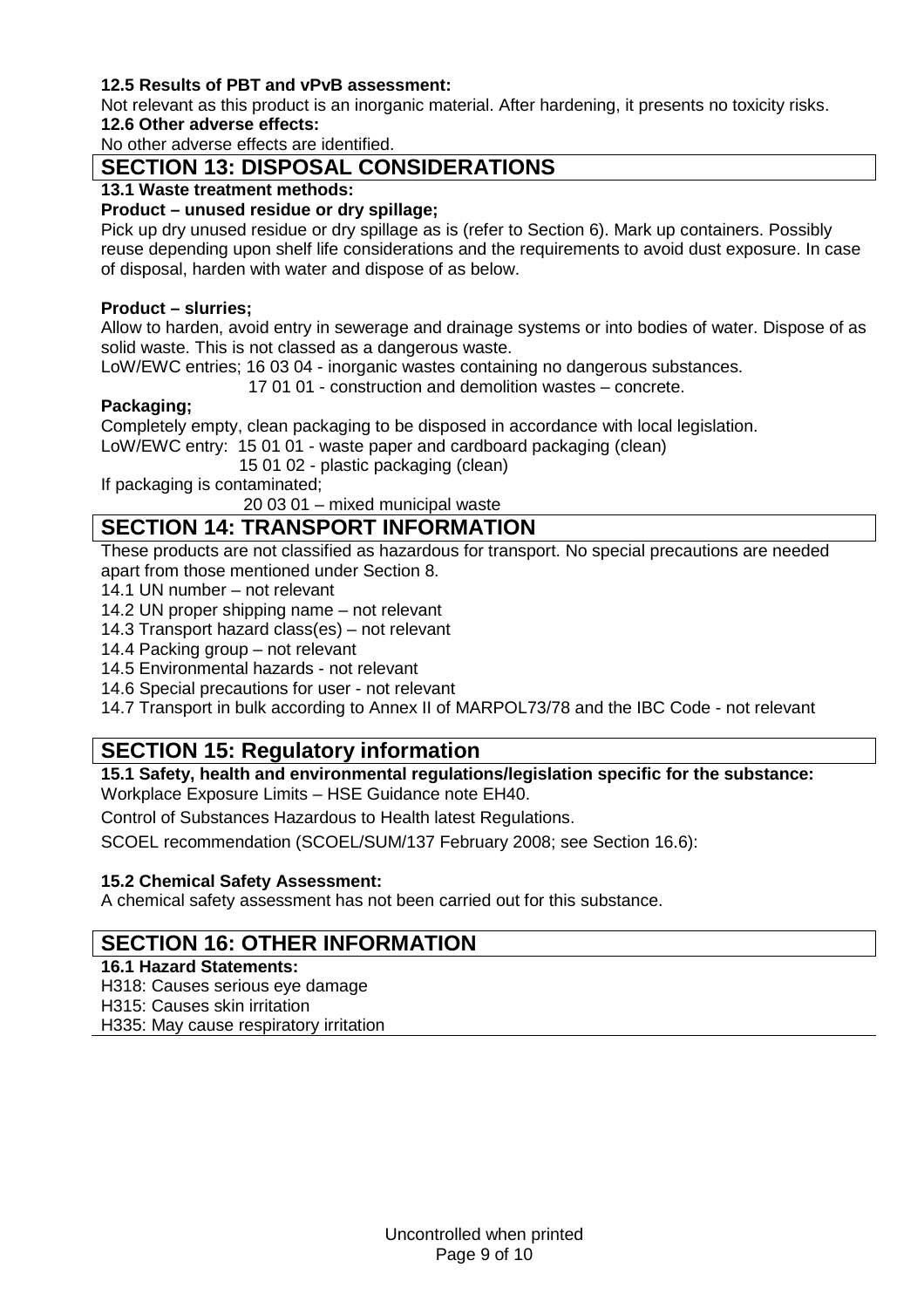### **12.5 Results of PBT and vPvB assessment:**

Not relevant as this product is an inorganic material. After hardening, it presents no toxicity risks. **12.6 Other adverse effects:**

No other adverse effects are identified.

### **SECTION 13: DISPOSAL CONSIDERATIONS**

### **13.1 Waste treatment methods:**

### **Product – unused residue or dry spillage;**

Pick up dry unused residue or dry spillage as is (refer to Section 6). Mark up containers. Possibly reuse depending upon shelf life considerations and the requirements to avoid dust exposure. In case of disposal, harden with water and dispose of as below.

#### **Product – slurries;**

Allow to harden, avoid entry in sewerage and drainage systems or into bodies of water. Dispose of as solid waste. This is not classed as a dangerous waste.

LoW/EWC entries; 16 03 04 - inorganic wastes containing no dangerous substances.

17 01 01 - construction and demolition wastes – concrete.

### **Packaging;**

Completely empty, clean packaging to be disposed in accordance with local legislation.

LoW/EWC entry: 15 01 01 - waste paper and cardboard packaging (clean)

15 01 02 - plastic packaging (clean)

If packaging is contaminated;

20 03 01 – mixed municipal waste

# **SECTION 14: TRANSPORT INFORMATION**

These products are not classified as hazardous for transport. No special precautions are needed apart from those mentioned under Section 8.

14.1 UN number – not relevant

14.2 UN proper shipping name – not relevant

14.3 Transport hazard class(es) – not relevant

14.4 Packing group – not relevant

14.5 Environmental hazards - not relevant

14.6 Special precautions for user - not relevant

14.7 Transport in bulk according to Annex II of MARPOL73/78 and the IBC Code - not relevant

### **SECTION 15: Regulatory information**

**15.1 Safety, health and environmental regulations/legislation specific for the substance:** Workplace Exposure Limits – HSE Guidance note EH40.

Control of Substances Hazardous to Health latest Regulations.

SCOEL recommendation (SCOEL/SUM/137 February 2008; see Section 16.6):

#### **15.2 Chemical Safety Assessment:**

A chemical safety assessment has not been carried out for this substance.

### **SECTION 16: OTHER INFORMATION**

### **16.1 Hazard Statements:**

H318: Causes serious eye damage

H315: Causes skin irritation

H335: May cause respiratory irritation